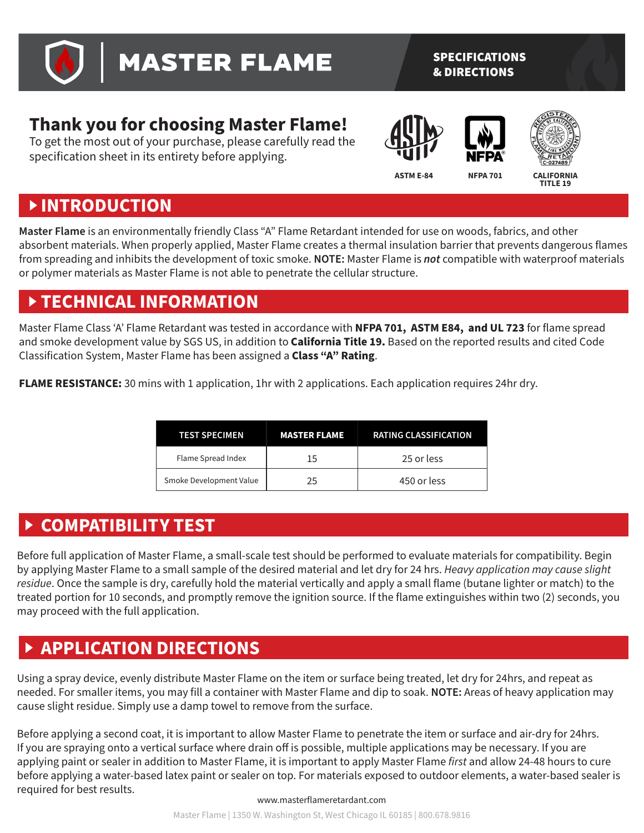

# **MASTER FLAME**

#### SPECIFICATIONS & DIRECTIONS

## **Thank you for choosing Master Flame!**

To get the most out of your purchase, please carefully read the specification sheet in its entirety before applying.





TITLE 19

# **INTRODUCTION**

**Master Flame** is an environmentally friendly Class "A" Flame Retardant intended for use on woods, fabrics, and other absorbent materials. When properly applied, Master Flame creates a thermal insulation barrier that prevents dangerous flames from spreading and inhibits the development of toxic smoke. **NOTE:** Master Flame is *not* compatible with waterproof materials or polymer materials as Master Flame is not able to penetrate the cellular structure.

# **TECHNICAL INFORMATION**

Master Flame Class 'A' Flame Retardant was tested in accordance with **NFPA 701, ASTM E84, and UL 723** for flame spread and smoke development value by SGS US, in addition to **California Title 19.** Based on the reported results and cited Code Classification System, Master Flame has been assigned a **Class "A" Rating**.

**FLAME RESISTANCE:** 30 mins with 1 application, 1hr with 2 applications. Each application requires 24hr dry.

| <b>TEST SPECIMEN</b>    | <b>MASTER FLAME</b> | <b>RATING CLASSIFICATION</b> |
|-------------------------|---------------------|------------------------------|
| Flame Spread Index      | 15                  | 25 or less                   |
| Smoke Development Value | 25                  | 450 or less                  |

## **COMPATIBILITY TEST**

Before full application of Master Flame, a small-scale test should be performed to evaluate materials for compatibility. Begin by applying Master Flame to a small sample of the desired material and let dry for 24 hrs. *Heavy application may cause slight residue*. Once the sample is dry, carefully hold the material vertically and apply a small flame (butane lighter or match) to the treated portion for 10 seconds, and promptly remove the ignition source. If the flame extinguishes within two (2) seconds, you may proceed with the full application.

# **APPLICATION DIRECTIONS**

Using a spray device, evenly distribute Master Flame on the item or surface being treated, let dry for 24hrs, and repeat as needed. For smaller items, you may fill a container with Master Flame and dip to soak. **NOTE:** Areas of heavy application may cause slight residue. Simply use a damp towel to remove from the surface.

Before applying a second coat, it is important to allow Master Flame to penetrate the item or surface and air-dry for 24hrs. If you are spraying onto a vertical surface where drain off is possible, multiple applications may be necessary. If you are applying paint or sealer in addition to Master Flame, it is important to apply Master Flame *first* and allow 24-48 hours to cure before applying a water-based latex paint or sealer on top. For materials exposed to outdoor elements, a water-based sealer is required for best results.

#### www.masterflameretardant.com